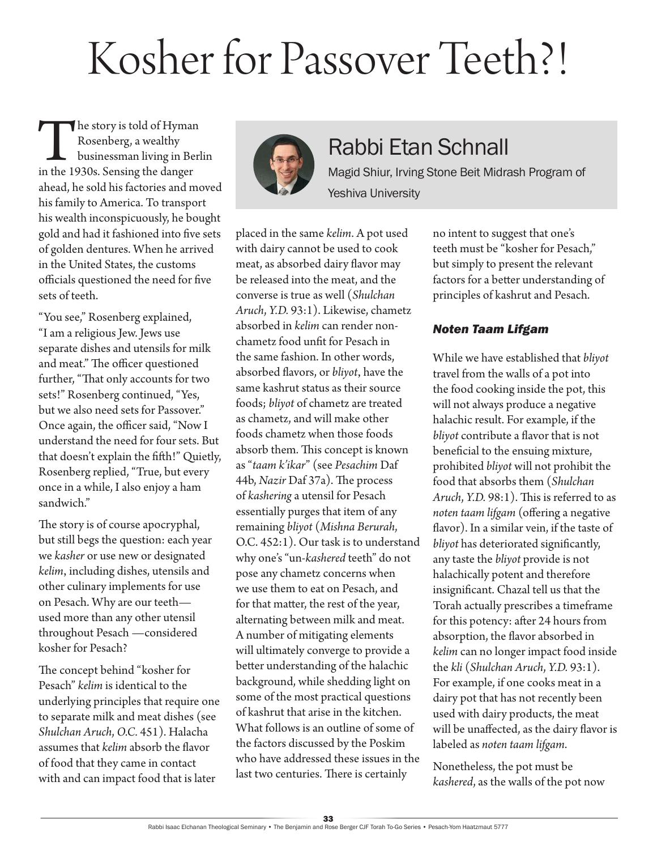## Kosher for Passover Teeth?!

The story is told of Hyman<br>
Rosenberg, a wealthy<br>
in the 1930s. Sensing the danger Rosenberg, a wealthy businessman living in Berlin ahead, he sold his factories and moved his family to America. To transport his wealth inconspicuously, he bought gold and had it fashioned into five sets of golden dentures. When he arrived in the United States, the customs officials questioned the need for five sets of teeth.

"You see," Rosenberg explained, "I am a religious Jew. Jews use separate dishes and utensils for milk and meat." The officer questioned further, "That only accounts for two sets!" Rosenberg continued, "Yes, but we also need sets for Passover." Once again, the officer said, "Now I understand the need for four sets. But that doesn't explain the fifth!" Quietly, Rosenberg replied, "True, but every once in a while, I also enjoy a ham sandwich."

The story is of course apocryphal, but still begs the question: each year we *kasher* or use new or designated *kelim*, including dishes, utensils and other culinary implements for use on Pesach. Why are our teeth used more than any other utensil throughout Pesach —considered kosher for Pesach?

The concept behind "kosher for Pesach" *kelim* is identical to the underlying principles that require one to separate milk and meat dishes (see *Shulchan Aruch*, *O.C.* 451). Halacha assumes that *kelim* absorb the flavor of food that they came in contact with and can impact food that is later



### Rabbi Etan Schnall

Magid Shiur, Irving Stone Beit Midrash Program of Yeshiva University

placed in the same *kelim*. A pot used with dairy cannot be used to cook meat, as absorbed dairy flavor may be released into the meat, and the converse is true as well (*Shulchan Aruch*, *Y.D.* 93:1). Likewise, chametz absorbed in *kelim* can render nonchametz food unfit for Pesach in the same fashion. In other words, absorbed flavors, or *bliyot*, have the same kashrut status as their source foods; *bliyot* of chametz are treated as chametz, and will make other foods chametz when those foods absorb them. This concept is known as "*taam k'ikar*" (see *Pesachim* Daf 44b, *Nazir* Daf 37a). The process of *kashering* a utensil for Pesach essentially purges that item of any remaining *bliyot* (*Mishna Berurah*, O.C. 452:1). Our task is to understand why one's "un-*kashered* teeth" do not pose any chametz concerns when we use them to eat on Pesach, and for that matter, the rest of the year, alternating between milk and meat. A number of mitigating elements will ultimately converge to provide a better understanding of the halachic background, while shedding light on some of the most practical questions of kashrut that arise in the kitchen. What follows is an outline of some of the factors discussed by the Poskim who have addressed these issues in the last two centuries. There is certainly

no intent to suggest that one's teeth must be "kosher for Pesach," but simply to present the relevant factors for a better understanding of principles of kashrut and Pesach.

#### *Noten Taam Lifgam*

While we have established that *bliyot* travel from the walls of a pot into the food cooking inside the pot, this will not always produce a negative halachic result. For example, if the *bliyot* contribute a flavor that is not beneficial to the ensuing mixture, prohibited *bliyot* will not prohibit the food that absorbs them (*Shulchan Aruch*, *Y.D.* 98:1). This is referred to as *noten taam lifgam* (offering a negative flavor). In a similar vein, if the taste of *bliyot* has deteriorated significantly, any taste the *bliyot* provide is not halachically potent and therefore insignificant. Chazal tell us that the Torah actually prescribes a timeframe for this potency: after 24 hours from absorption, the flavor absorbed in *kelim* can no longer impact food inside the *kli* (*Shulchan Aruch*, *Y.D.* 93:1). For example, if one cooks meat in a dairy pot that has not recently been used with dairy products, the meat will be unaffected, as the dairy flavor is labeled as *noten taam lifgam*.

Nonetheless, the pot must be *kashered*, as the walls of the pot now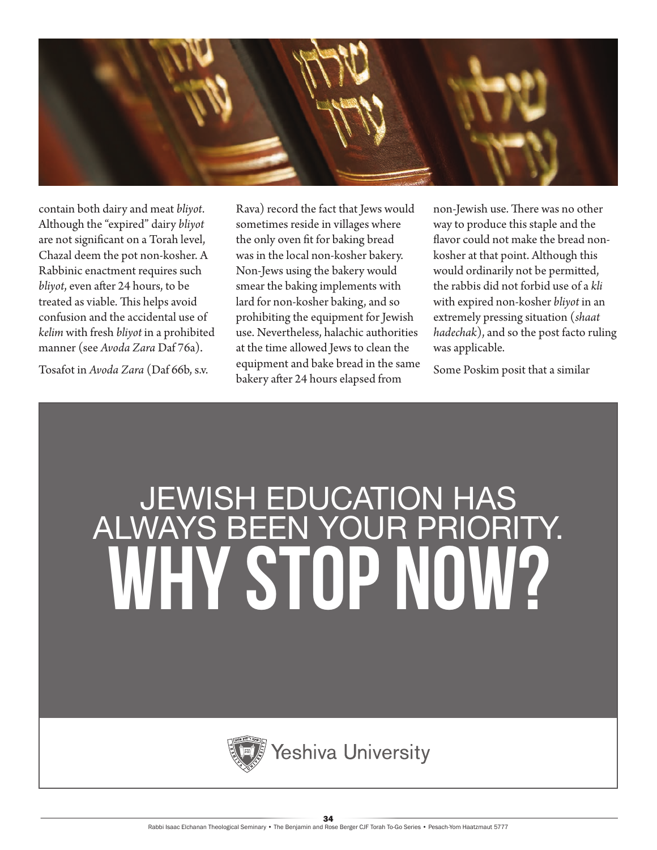

contain both dairy and meat *bliyot*. Although the "expired" dairy *bliyot* are not significant on a Torah level, Chazal deem the pot non-kosher. A Rabbinic enactment requires such *bliyot*, even after 24 hours, to be treated as viable. This helps avoid confusion and the accidental use of *kelim* with fresh *bliyot* in a prohibited manner (see *Avoda Zara* Daf 76a)*.*

Tosafot in *Avoda Zara* (Daf 66b, s.v.

Rava) record the fact that Jews would sometimes reside in villages where the only oven fit for baking bread was in the local non-kosher bakery. Non-Jews using the bakery would smear the baking implements with lard for non-kosher baking, and so prohibiting the equipment for Jewish use. Nevertheless, halachic authorities at the time allowed Jews to clean the equipment and bake bread in the same bakery after 24 hours elapsed from

non-Jewish use. There was no other way to produce this staple and the flavor could not make the bread nonkosher at that point. Although this would ordinarily not be permitted, the rabbis did not forbid use of a *kli* with expired non-kosher *bliyot* in an extremely pressing situation (*shaat hadechak*), and so the post facto ruling was applicable.

Some Poskim posit that a similar

# JEWISH EDUCATION HAS ALWAYS BEEN YOUR PRIORITY. WHY STOP NOW?

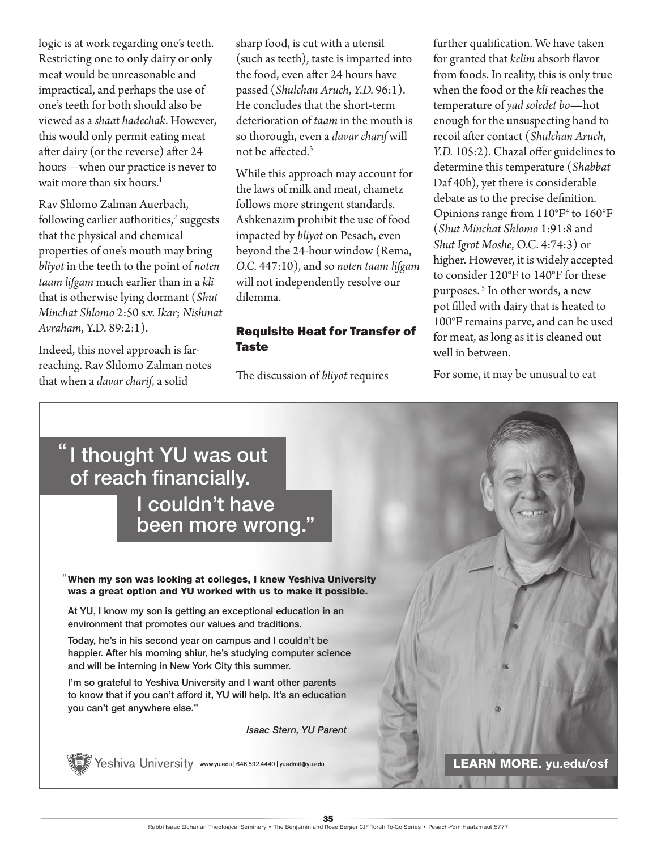logic is at work regarding one's teeth. Restricting one to only dairy or only meat would be unreasonable and impractical, and perhaps the use of one's teeth for both should also be viewed as a *shaat hadechak*. However, this would only permit eating meat after dairy (or the reverse) after 24 hours—when our practice is never to wait more than six hours.<sup>1</sup>

Rav Shlomo Zalman Auerbach, following earlier authorities,<sup>2</sup> suggests that the physical and chemical properties of one's mouth may bring *bliyot* in the teeth to the point of *noten taam lifgam* much earlier than in a *kli* that is otherwise lying dormant (*Shut Minchat Shlomo* 2:50 s.v. *Ikar*; *Nishmat Avraham*, Y.D. 89:2:1).

Indeed, this novel approach is farreaching. Rav Shlomo Zalman notes that when a *davar charif*, a solid

sharp food, is cut with a utensil (such as teeth), taste is imparted into the food, even after 24 hours have passed (*Shulchan Aruch*, *Y.D.* 96:1). He concludes that the short-term deterioration of *taam* in the mouth is so thorough, even a *davar charif* will not be affected.<sup>3</sup>

While this approach may account for the laws of milk and meat, chametz follows more stringent standards. Ashkenazim prohibit the use of food impacted by *bliyot* on Pesach, even beyond the 24-hour window (Rema, *O.C.* 447:10), and so *noten taam lifgam* will not independently resolve our dilemma.

#### Requisite Heat for Transfer of Taste

The discussion of *bliyot* requires

further qualification. We have taken for granted that *kelim* absorb flavor from foods. In reality, this is only true when the food or the *kli* reaches the temperature of *yad soledet bo*—hot enough for the unsuspecting hand to recoil after contact (*Shulchan Aruch*, *Y.D.* 105:2). Chazal offer guidelines to determine this temperature (*Shabbat* Daf 40b), yet there is considerable debate as to the precise definition. Opinions range from 110°F4 to 160°F (*Shut Minchat Shlomo* 1:91:8 and *Shut Igrot Moshe*, O.C. 4:74:3) or higher. However, it is widely accepted to consider 120°F to 140°F for these purposes. <sup>5</sup> In other words, a new pot filled with dairy that is heated to 100°F remains parve, and can be used for meat, as long as it is cleaned out well in between.

For some, it may be unusual to eat

### "I thought YU was out of reach financially. I couldn't have

been more wrong. "

When my son was looking at colleges, I knew Yeshiva University "was a great option and YU worked with us to make it possible.

At YU, I know my son is getting an exceptional education in an environment that promotes our values and traditions.

Today, he's in his second year on campus and I couldn't be happier. After his morning shiur, he's studying computer science and will be interning in New York City this summer.

I'm so grateful to Yeshiva University and I want other parents to know that if you can't afford it, YU will help. It's an education you can't get anywhere else."

*Isaac Stern, YU Parent*



**www.yu.edu/osf and the University www.yu.edu | 646.592.4440 | yuadmit@yu.edu LEARN MORE. yu.edu/osf**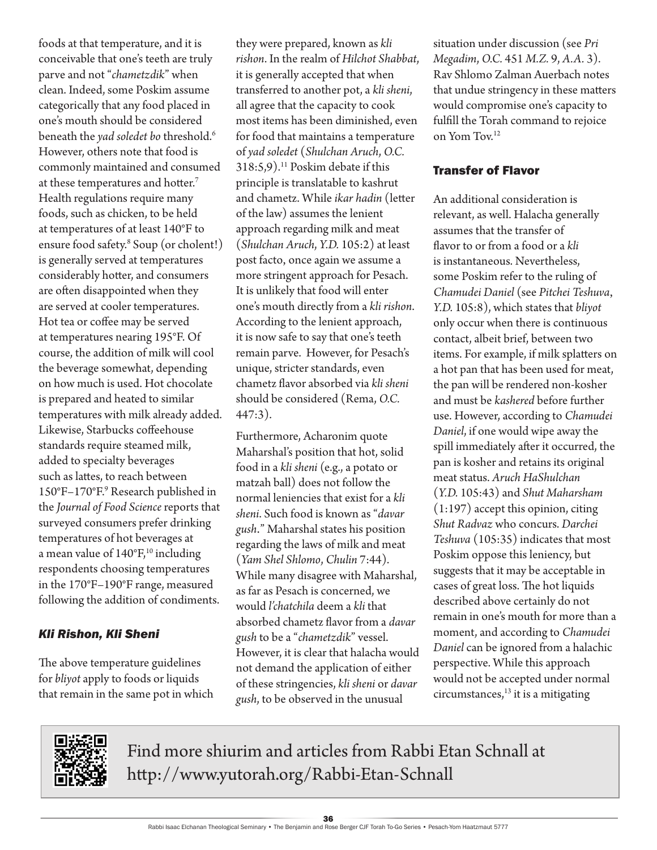foods at that temperature, and it is conceivable that one's teeth are truly parve and not "*chametzdik*" when clean. Indeed, some Poskim assume categorically that any food placed in one's mouth should be considered beneath the *yad soledet bo* threshold.<sup>6</sup> However, others note that food is commonly maintained and consumed at these temperatures and hotter.<sup>7</sup> Health regulations require many foods, such as chicken, to be held at temperatures of at least 140°F to ensure food safety.8 Soup (or cholent!) is generally served at temperatures considerably hotter, and consumers are often disappointed when they are served at cooler temperatures. Hot tea or coffee may be served at temperatures nearing 195°F. Of course, the addition of milk will cool the beverage somewhat, depending on how much is used. Hot chocolate is prepared and heated to similar temperatures with milk already added. Likewise, Starbucks coffeehouse standards require steamed milk, added to specialty beverages such as lattes, to reach between 150°F–170°F.<sup>9</sup> Research published in the *Journal of Food Science* reports that surveyed consumers prefer drinking temperatures of hot beverages at a mean value of  $140^{\circ}$ F,<sup>10</sup> including respondents choosing temperatures in the 170°F–190°F range, measured following the addition of condiments.

#### *Kli Rishon, Kli Sheni*

The above temperature guidelines for *bliyot* apply to foods or liquids that remain in the same pot in which they were prepared, known as *kli rishon*. In the realm of *Hilchot Shabbat*, it is generally accepted that when transferred to another pot, a *kli sheni*, all agree that the capacity to cook most items has been diminished, even for food that maintains a temperature of *yad soledet* (*Shulchan Aruch*, *O.C.* 318:5,9).<sup>11</sup> Poskim debate if this principle is translatable to kashrut and chametz. While *ikar hadin* (letter of the law) assumes the lenient approach regarding milk and meat (*Shulchan Aruch*, *Y.D.* 105:2) at least post facto, once again we assume a more stringent approach for Pesach. It is unlikely that food will enter one's mouth directly from a *kli rishon*. According to the lenient approach, it is now safe to say that one's teeth remain parve. However, for Pesach's unique, stricter standards, even chametz flavor absorbed via *kli sheni* should be considered (Rema, *O.C.* 447:3).

Furthermore, Acharonim quote Maharshal's position that hot, solid food in a *kli sheni* (e.g., a potato or matzah ball) does not follow the normal leniencies that exist for a *kli sheni*. Such food is known as "*davar gush*." Maharshal states his position regarding the laws of milk and meat (*Yam Shel Shlomo*, *Chulin* 7:44). While many disagree with Maharshal, as far as Pesach is concerned, we would *l'chatchila* deem a *kli* that absorbed chametz flavor from a *davar gush* to be a "*chametzdik*" vessel. However, it is clear that halacha would not demand the application of either of these stringencies, *kli sheni* or *davar gush*, to be observed in the unusual

situation under discussion (see *Pri Megadim*, *O.C.* 451 *M.Z.* 9, *A.A.* 3). Rav Shlomo Zalman Auerbach notes that undue stringency in these matters would compromise one's capacity to fulfill the Torah command to rejoice on Yom Tov.12

#### Transfer of Flavor

An additional consideration is relevant, as well. Halacha generally assumes that the transfer of flavor to or from a food or a *kli* is instantaneous. Nevertheless, some Poskim refer to the ruling of *Chamudei Daniel* (see *Pitchei Teshuva*, *Y.D.* 105:8), which states that *bliyot* only occur when there is continuous contact, albeit brief, between two items. For example, if milk splatters on a hot pan that has been used for meat, the pan will be rendered non-kosher and must be *kashered* before further use. However, according to *Chamudei Daniel*, if one would wipe away the spill immediately after it occurred, the pan is kosher and retains its original meat status. *Aruch HaShulchan* (*Y.D.* 105:43) and *Shut Maharsham*  $(1:197)$  accept this opinion, citing *Shut Radvaz* who concurs. *Darchei Teshuva* (105:35) indicates that most Poskim oppose this leniency, but suggests that it may be acceptable in cases of great loss. The hot liquids described above certainly do not remain in one's mouth for more than a moment, and according to *Chamudei Daniel* can be ignored from a halachic perspective. While this approach would not be accepted under normal circumstances,<sup>13</sup> it is a mitigating



Find more shiurim and articles from Rabbi Etan Schnall at http://www.yutorah.org/Rabbi-Etan-Schnall

36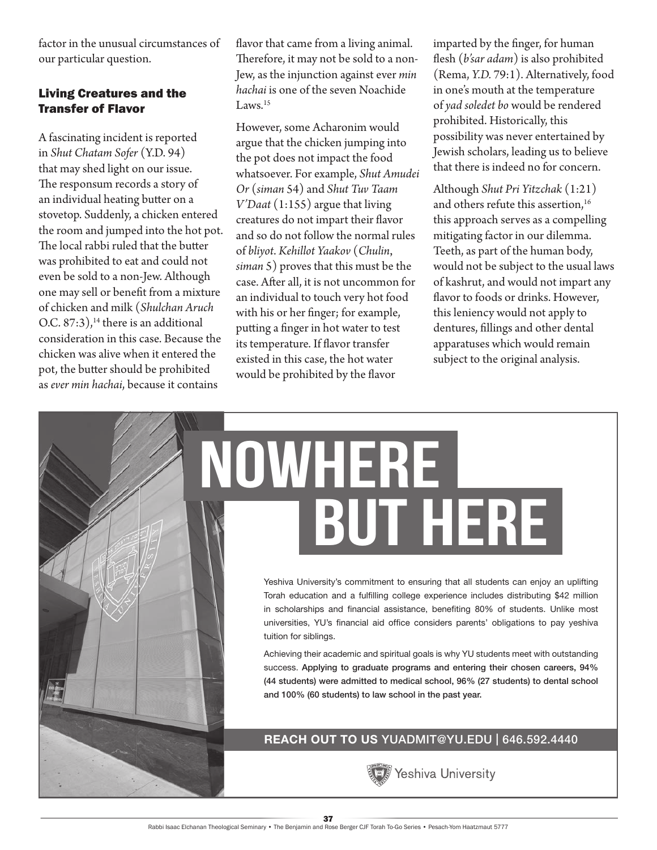factor in the unusual circumstances of our particular question.

#### Living Creatures and the Transfer of Flavor

A fascinating incident is reported in *Shut Chatam Sofer* (Y.D. 94) that may shed light on our issue. The responsum records a story of an individual heating butter on a stovetop. Suddenly, a chicken entered the room and jumped into the hot pot. The local rabbi ruled that the butter was prohibited to eat and could not even be sold to a non-Jew. Although one may sell or benefit from a mixture of chicken and milk (*Shulchan Aruch* O.C.  $87:3$ ,<sup>14</sup> there is an additional consideration in this case. Because the chicken was alive when it entered the pot, the butter should be prohibited as *ever min hachai*, because it contains

flavor that came from a living animal. Therefore, it may not be sold to a non-Jew, as the injunction against ever *min hachai* is one of the seven Noachide Laws.<sup>15</sup>

However, some Acharonim would argue that the chicken jumping into the pot does not impact the food whatsoever. For example, *Shut Amudei Or* (*siman* 54) and *Shut Tuv Taam V'Daat* (1:155) argue that living creatures do not impart their flavor and so do not follow the normal rules of *bliyot*. *Kehillot Yaakov* (*Chulin*, *siman* 5) proves that this must be the case. After all, it is not uncommon for an individual to touch very hot food with his or her finger; for example, putting a finger in hot water to test its temperature. If flavor transfer existed in this case, the hot water would be prohibited by the flavor

NOWHERE

imparted by the finger, for human flesh (*b'sar adam*) is also prohibited (Rema, *Y.D.* 79:1). Alternatively, food in one's mouth at the temperature of *yad soledet bo* would be rendered prohibited. Historically, this possibility was never entertained by Jewish scholars, leading us to believe that there is indeed no for concern.

Although *Shut Pri Yitzchak* (1:21) and others refute this assertion,<sup>16</sup> this approach serves as a compelling mitigating factor in our dilemma. Teeth, as part of the human body, would not be subject to the usual laws of kashrut, and would not impart any flavor to foods or drinks. However, this leniency would not apply to dentures, fillings and other dental apparatuses which would remain subject to the original analysis.

## BUT HERE Yeshiva University's commitment to ensuring that all students can enjoy an uplifting Torah education and a fulfilling college experience includes distributing \$42 million in scholarships and financial assistance, benefiting 80% of students. Unlike most universities, YU's financial aid office considers parents' obligations to pay yeshiva

Achieving their academic and spiritual goals is why YU students meet with outstanding success. Applying to graduate programs and entering their chosen careers, 94% (44 students) were admitted to medical school, 96% (27 students) to dental school and 100% (60 students) to law school in the past year.

**REACH OUT TO US** YUADMIT@YU.EDU | 646.592.4440



tuition for siblings.